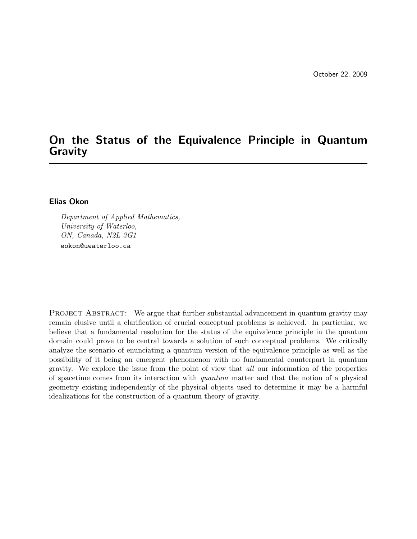# On the Status of the Equivalence Principle in Quantum Gravity

### Elias Okon

Department of Applied Mathematics, University of Waterloo, ON, Canada, N2L 3G1 eokon@uwaterloo.ca

PROJECT ABSTRACT: We argue that further substantial advancement in quantum gravity may remain elusive until a clarification of crucial conceptual problems is achieved. In particular, we believe that a fundamental resolution for the status of the equivalence principle in the quantum domain could prove to be central towards a solution of such conceptual problems. We critically analyze the scenario of enunciating a quantum version of the equivalence principle as well as the possibility of it being an emergent phenomenon with no fundamental counterpart in quantum gravity. We explore the issue from the point of view that all our information of the properties of spacetime comes from its interaction with quantum matter and that the notion of a physical geometry existing independently of the physical objects used to determine it may be a harmful idealizations for the construction of a quantum theory of gravity.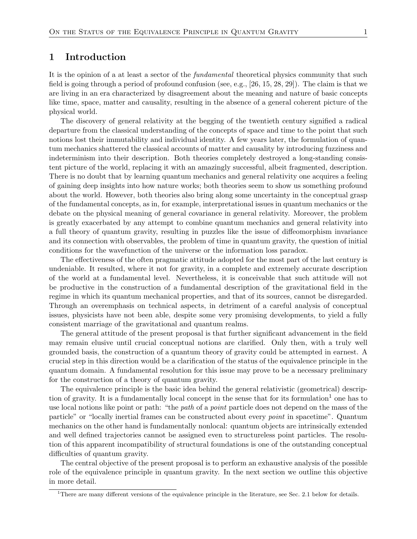### 1 Introduction

It is the opinion of a at least a sector of the *fundamental* theoretical physics community that such field is going through a period of profound confusion (see, e.g., [26, 15, 28, 29]). The claim is that we are living in an era characterized by disagreement about the meaning and nature of basic concepts like time, space, matter and causality, resulting in the absence of a general coherent picture of the physical world.

The discovery of general relativity at the begging of the twentieth century signified a radical departure from the classical understanding of the concepts of space and time to the point that such notions lost their immutability and individual identity. A few years later, the formulation of quantum mechanics shattered the classical accounts of matter and causality by introducing fuzziness and indeterminism into their description. Both theories completely destroyed a long-standing consistent picture of the world, replacing it with an amazingly successful, albeit fragmented, description. There is no doubt that by learning quantum mechanics and general relativity one acquires a feeling of gaining deep insights into how nature works; both theories seem to show us something profound about the world. However, both theories also bring along some uncertainty in the conceptual grasp of the fundamental concepts, as in, for example, interpretational issues in quantum mechanics or the debate on the physical meaning of general covariance in general relativity. Moreover, the problem is greatly exacerbated by any attempt to combine quantum mechanics and general relativity into a full theory of quantum gravity, resulting in puzzles like the issue of diffeomorphism invariance and its connection with observables, the problem of time in quantum gravity, the question of initial conditions for the wavefunction of the universe or the information loss paradox.

The effectiveness of the often pragmatic attitude adopted for the most part of the last century is undeniable. It resulted, where it not for gravity, in a complete and extremely accurate description of the world at a fundamental level. Nevertheless, it is conceivable that such attitude will not be productive in the construction of a fundamental description of the gravitational field in the regime in which its quantum mechanical properties, and that of its sources, cannot be disregarded. Through an overemphasis on technical aspects, in detriment of a careful analysis of conceptual issues, physicists have not been able, despite some very promising developments, to yield a fully consistent marriage of the gravitational and quantum realms.

The general attitude of the present proposal is that further significant advancement in the field may remain elusive until crucial conceptual notions are clarified. Only then, with a truly well grounded basis, the construction of a quantum theory of gravity could be attempted in earnest. A crucial step in this direction would be a clarification of the status of the equivalence principle in the quantum domain. A fundamental resolution for this issue may prove to be a necessary preliminary for the construction of a theory of quantum gravity.

The equivalence principle is the basic idea behind the general relativistic (geometrical) description of gravity. It is a fundamentally local concept in the sense that for its formulation<sup>1</sup> one has to use local notions like point or path: "the *path* of a *point* particle does not depend on the mass of the particle" or "locally inertial frames can be constructed about every point in spacetime". Quantum mechanics on the other hand is fundamentally nonlocal: quantum objects are intrinsically extended and well defined trajectories cannot be assigned even to structureless point particles. The resolution of this apparent incompatibility of structural foundations is one of the outstanding conceptual difficulties of quantum gravity.

The central objective of the present proposal is to perform an exhaustive analysis of the possible role of the equivalence principle in quantum gravity. In the next section we outline this objective in more detail.

<sup>&</sup>lt;sup>1</sup>There are many different versions of the equivalence principle in the literature, see Sec. 2.1 below for details.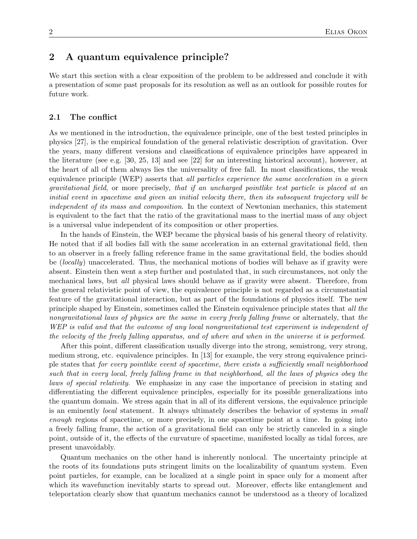## 2 A quantum equivalence principle?

We start this section with a clear exposition of the problem to be addressed and conclude it with a presentation of some past proposals for its resolution as well as an outlook for possible routes for future work.

#### 2.1 The conflict

As we mentioned in the introduction, the equivalence principle, one of the best tested principles in physics [27], is the empirical foundation of the general relativistic description of gravitation. Over the years, many different versions and classifications of equivalence principles have appeared in the literature (see e.g. [30, 25, 13] and see [22] for an interesting historical account), however, at the heart of all of them always lies the universality of free fall. In most classifications, the weak equivalence principle (WEP) asserts that all particles experience the same acceleration in a given gravitational field, or more precisely, that if an uncharged pointlike test particle is placed at an initial event in spacetime and given an initial velocity there, then its subsequent trajectory will be independent of its mass and composition. In the context of Newtonian mechanics, this statement is equivalent to the fact that the ratio of the gravitational mass to the inertial mass of any object is a universal value independent of its composition or other properties.

In the hands of Einstein, the WEP became the physical basis of his general theory of relativity. He noted that if all bodies fall with the same acceleration in an external gravitational field, then to an observer in a freely falling reference frame in the same gravitational field, the bodies should be (locally) unaccelerated. Thus, the mechanical motions of bodies will behave as if gravity were absent. Einstein then went a step further and postulated that, in such circumstances, not only the mechanical laws, but all physical laws should behave as if gravity were absent. Therefore, from the general relativistic point of view, the equivalence principle is not regarded as a circumstantial feature of the gravitational interaction, but as part of the foundations of physics itself. The new principle shaped by Einstein, sometimes called the Einstein equivalence principle states that all the nongravitational laws of physics are the same in every freely falling frame or alternately, that the WEP is valid and that the outcome of any local nongravitational test experiment is independent of the velocity of the freely falling apparatus, and of where and when in the universe it is performed.

After this point, different classification usually diverge into the strong, semistrong, very strong, medium strong, etc. equivalence principles. In [13] for example, the very strong equivalence principle states that for every pointlike event of spacetime, there exists a sufficiently small neighborhood such that in every local, freely falling frame in that neighborhood, all the laws of physics obey the laws of special relativity. We emphasize in any case the importance of precision in stating and differentiating the different equivalence principles, especially for its possible generalizations into the quantum domain. We stress again that in all of its different versions, the equivalence principle is an eminently local statement. It always ultimately describes the behavior of systems in small enough regions of spacetime, or more precisely, in one spacetime point at a time. In going into a freely falling frame, the action of a gravitational field can only be strictly canceled in a single point, outside of it, the effects of the curvature of spacetime, manifested locally as tidal forces, are present unavoidably.

Quantum mechanics on the other hand is inherently nonlocal. The uncertainty principle at the roots of its foundations puts stringent limits on the localizability of quantum system. Even point particles, for example, can be localized at a single point in space only for a moment after which its wavefunction inevitably starts to spread out. Moreover, effects like entanglement and teleportation clearly show that quantum mechanics cannot be understood as a theory of localized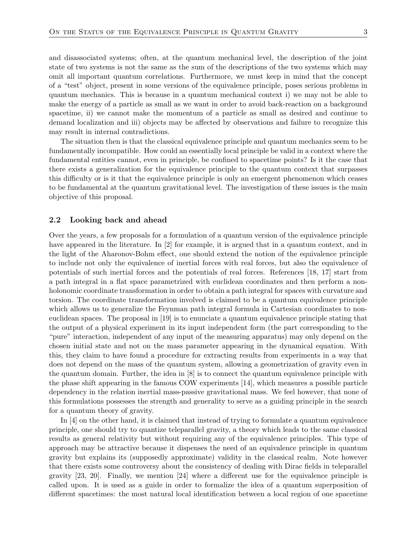and disassociated systems; often, at the quantum mechanical level, the description of the joint state of two systems is not the same as the sum of the descriptions of the two systems which may omit all important quantum correlations. Furthermore, we must keep in mind that the concept of a "test" object, present in some versions of the equivalence principle, poses serious problems in quantum mechanics. This is because in a quantum mechanical context i) we may not be able to make the energy of a particle as small as we want in order to avoid back-reaction on a background spacetime, ii) we cannot make the momentum of a particle as small as desired and continue to demand localization and iii) objects may be affected by observations and failure to recognize this may result in internal contradictions.

The situation then is that the classical equivalence principle and quantum mechanics seem to be fundamentally incompatible. How could an essentially local principle be valid in a context where the fundamental entities cannot, even in principle, be confined to spacetime points? Is it the case that there exists a generalization for the equivalence principle to the quantum context that surpasses this difficulty or is it that the equivalence principle is only an emergent phenomenon which ceases to be fundamental at the quantum gravitational level. The investigation of these issues is the main objective of this proposal.

#### 2.2 Looking back and ahead

Over the years, a few proposals for a formulation of a quantum version of the equivalence principle have appeared in the literature. In [2] for example, it is argued that in a quantum context, and in the light of the Aharonov-Bohm effect, one should extend the notion of the equivalence principle to include not only the equivalence of inertial forces with real forces, but also the equivalence of potentials of such inertial forces and the potentials of real forces. References [18, 17] start from a path integral in a flat space parametrized with euclidean coordinates and then perform a nonholonomic coordinate transformation in order to obtain a path integral for spaces with curvature and torsion. The coordinate transformation involved is claimed to be a quantum equivalence principle which allows us to generalize the Feynman path integral formula in Cartesian coordinates to noneuclidean spaces. The proposal in [19] is to enunciate a quantum equivalence principle stating that the output of a physical experiment in its input independent form (the part corresponding to the "pure" interaction, independent of any input of the measuring apparatus) may only depend on the chosen initial state and not on the mass parameter appearing in the dynamical equation. With this, they claim to have found a procedure for extracting results from experiments in a way that does not depend on the mass of the quantum system, allowing a geometrization of gravity even in the quantum domain. Further, the idea in [8] is to connect the quantum equivalence principle with the phase shift appearing in the famous COW experiments [14], which measures a possible particle dependency in the relation inertial mass-passive gravitational mass. We feel however, that none of this formulations possesses the strength and generality to serve as a guiding principle in the search for a quantum theory of gravity.

In [4] on the other hand, it is claimed that instead of trying to formulate a quantum equivalence principle, one should try to quantize teleparallel gravity, a theory which leads to the same classical results as general relativity but without requiring any of the equivalence principles. This type of approach may be attractive because it dispenses the need of an equivalence principle in quantum gravity but explains its (supposedly approximate) validity in the classical realm. Note however that there exists some controversy about the consistency of dealing with Dirac fields in teleparallel gravity [23, 20]. Finally, we mention [24] where a different use for the equivalence principle is called upon. It is used as a guide in order to formalize the idea of a quantum superposition of different spacetimes: the most natural local identification between a local region of one spacetime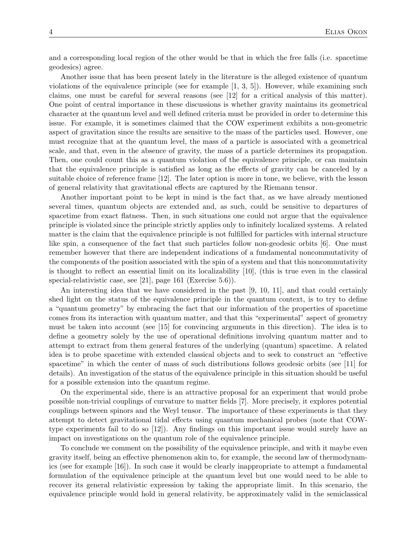and a corresponding local region of the other would be that in which the free falls (i.e. spacetime geodesics) agree.

Another issue that has been present lately in the literature is the alleged existence of quantum violations of the equivalence principle (see for example  $(1, 3, 5)$ ). However, while examining such claims, one must be careful for several reasons (see [12] for a critical analysis of this matter). One point of central importance in these discussions is whether gravity maintains its geometrical character at the quantum level and well defined criteria must be provided in order to determine this issue. For example, it is sometimes claimed that the COW experiment exhibits a non-geometric aspect of gravitation since the results are sensitive to the mass of the particles used. However, one must recognize that at the quantum level, the mass of a particle is associated with a geometrical scale, and that, even in the absence of gravity, the mass of a particle determines its propagation. Then, one could count this as a quantum violation of the equivalence principle, or can maintain that the equivalence principle is satisfied as long as the effects of gravity can be canceled by a suitable choice of reference frame [12]. The later option is more in tone, we believe, with the lesson of general relativity that gravitational effects are captured by the Riemann tensor.

Another important point to be kept in mind is the fact that, as we have already mentioned several times, quantum objects are extended and, as such, could be sensitive to departures of spacetime from exact flatness. Then, in such situations one could not argue that the equivalence principle is violated since the principle strictly applies only to infinitely localized systems. A related matter is the claim that the equivalence principle is not fulfilled for particles with internal structure like spin, a consequence of the fact that such particles follow non-geodesic orbits [6]. One must remember however that there are independent indications of a fundamental noncommutativity of the components of the position associated with the spin of a system and that this noncommutativity is thought to reflect an essential limit on its localizability [10], (this is true even in the classical special-relativistic case, see [21], page 161 (Exercise 5.6)).

An interesting idea that we have considered in the past [9, 10, 11], and that could certainly shed light on the status of the equivalence principle in the quantum context, is to try to define a "quantum geometry" by embracing the fact that our information of the properties of spacetime comes from its interaction with quantum matter, and that this "experimental" aspect of geometry must be taken into account (see [15] for convincing arguments in this direction). The idea is to define a geometry solely by the use of operational definitions involving quantum matter and to attempt to extract from them general features of the underlying (quantum) spacetime. A related idea is to probe spacetime with extended classical objects and to seek to construct an "effective spacetime" in which the center of mass of such distributions follows geodesic orbits (see [11] for details). An investigation of the status of the equivalence principle in this situation should be useful for a possible extension into the quantum regime.

On the experimental side, there is an attractive proposal for an experiment that would probe possible non-trivial couplings of curvature to matter fields [7]. More precisely, it explores potential couplings between spinors and the Weyl tensor. The importance of these experiments is that they attempt to detect gravitational tidal effects using quantum mechanical probes (note that COWtype experiments fail to do so [12]). Any findings on this important issue would surely have an impact on investigations on the quantum role of the equivalence principle.

To conclude we comment on the possibility of the equivalence principle, and with it maybe even gravity itself, being an effective phenomenon akin to, for example, the second law of thermodynamics (see for example [16]). In such case it would be clearly inappropriate to attempt a fundamental formulation of the equivalence principle at the quantum level but one would need to be able to recover its general relativistic expression by taking the appropriate limit. In this scenario, the equivalence principle would hold in general relativity, be approximately valid in the semiclassical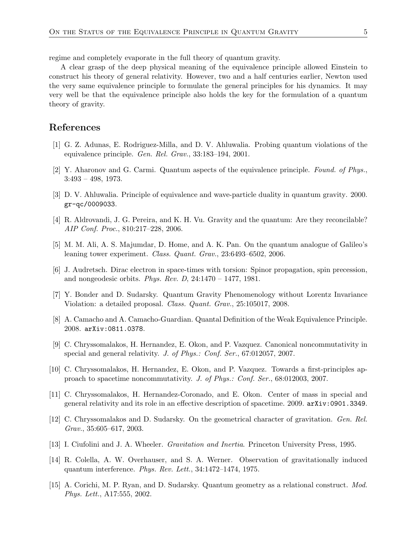regime and completely evaporate in the full theory of quantum gravity.

A clear grasp of the deep physical meaning of the equivalence principle allowed Einstein to construct his theory of general relativity. However, two and a half centuries earlier, Newton used the very same equivalence principle to formulate the general principles for his dynamics. It may very well be that the equivalence principle also holds the key for the formulation of a quantum theory of gravity.

## References

- [1] G. Z. Adunas, E. Rodriguez-Milla, and D. V. Ahluwalia. Probing quantum violations of the equivalence principle. Gen. Rel. Grav., 33:183–194, 2001.
- [2] Y. Aharonov and G. Carmi. Quantum aspects of the equivalence principle. Found. of Phys., 3:493 – 498, 1973.
- [3] D. V. Ahluwalia. Principle of equivalence and wave-particle duality in quantum gravity. 2000. gr-qc/0009033.
- [4] R. Aldrovandi, J. G. Pereira, and K. H. Vu. Gravity and the quantum: Are they reconcilable? AIP Conf. Proc., 810:217–228, 2006.
- [5] M. M. Ali, A. S. Majumdar, D. Home, and A. K. Pan. On the quantum analogue of Galileo's leaning tower experiment. Class. Quant. Grav., 23:6493–6502, 2006.
- [6] J. Audretsch. Dirac electron in space-times with torsion: Spinor propagation, spin precession, and nongeodesic orbits. Phys. Rev. D,  $24:1470 - 1477$ , 1981.
- [7] Y. Bonder and D. Sudarsky. Quantum Gravity Phenomenology without Lorentz Invariance Violation: a detailed proposal. Class. Quant. Grav., 25:105017, 2008.
- [8] A. Camacho and A. Camacho-Guardian. Quantal Definition of the Weak Equivalence Principle. 2008. arXiv:0811.0378.
- [9] C. Chryssomalakos, H. Hernandez, E. Okon, and P. Vazquez. Canonical noncommutativity in special and general relativity. J. of Phys.: Conf. Ser., 67:012057, 2007.
- [10] C. Chryssomalakos, H. Hernandez, E. Okon, and P. Vazquez. Towards a first-principles approach to spacetime noncommutativity. J. of Phys.: Conf. Ser., 68:012003, 2007.
- [11] C. Chryssomalakos, H. Hernandez-Coronado, and E. Okon. Center of mass in special and general relativity and its role in an effective description of spacetime. 2009. arXiv:0901.3349.
- [12] C. Chryssomalakos and D. Sudarsky. On the geometrical character of gravitation. Gen. Rel. Grav., 35:605–617, 2003.
- [13] I. Ciufolini and J. A. Wheeler. Gravitation and Inertia. Princeton University Press, 1995.
- [14] R. Colella, A. W. Overhauser, and S. A. Werner. Observation of gravitationally induced quantum interference. Phys. Rev. Lett., 34:1472–1474, 1975.
- [15] A. Corichi, M. P. Ryan, and D. Sudarsky. Quantum geometry as a relational construct. Mod. Phys. Lett., A17:555, 2002.